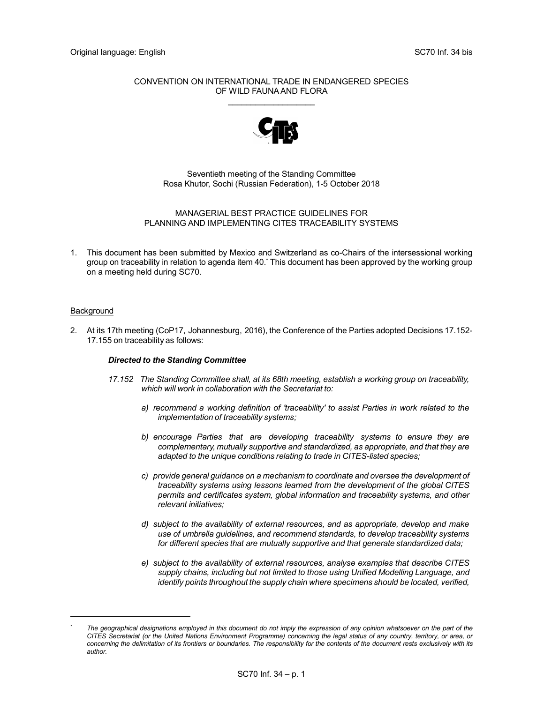## CONVENTION ON INTERNATIONAL TRADE IN ENDANGERED SPECIES OF WILD FAUNA AND FLORA  $\mathcal{L}=\mathcal{L}=\mathcal{L}=\mathcal{L}=\mathcal{L}=\mathcal{L}=\mathcal{L}=\mathcal{L}=\mathcal{L}=\mathcal{L}=\mathcal{L}=\mathcal{L}=\mathcal{L}=\mathcal{L}=\mathcal{L}=\mathcal{L}=\mathcal{L}=\mathcal{L}=\mathcal{L}=\mathcal{L}=\mathcal{L}=\mathcal{L}=\mathcal{L}=\mathcal{L}=\mathcal{L}=\mathcal{L}=\mathcal{L}=\mathcal{L}=\mathcal{L}=\mathcal{L}=\mathcal{L}=\mathcal{L}=\mathcal{L}=\mathcal{L}=\mathcal{L}=\mathcal{L}=\mathcal{$



Seventieth meeting of the Standing Committee Rosa Khutor, Sochi (Russian Federation), 1-5 October 2018

## MANAGERIAL BEST PRACTICE GUIDELINES FOR PLANNING AND IMPLEMENTING CITES TRACEABILITY SYSTEMS

1. This document has been submitted by Mexico and Switzerland as co-Chairs of the intersessional working group on traceability in relation to agenda item 40.\* This document has been approved by the working group on a meeting held during SC70.

## Background

i<br>I

2. At its 17th meeting (CoP17, Johannesburg, 2016), the Conference of the Parties adopted Decisions 17.152- 17.155 on traceability as follows:

# Directed to the Standing Committee

- 17.152 The Standing Committee shall, at its 68th meeting, establish a working group on traceability, which will work in collaboration with the Secretariat to:
	- a) recommend a working definition of 'traceability' to assist Parties in work related to the implementation of traceability systems:
	- b) encourage Parties that are developing traceability systems to ensure they are complementary, mutually supportive and standardized, as appropriate, and that they are adapted to the unique conditions relating to trade in CITES-listed species;
	- c) provide general guidance on a mechanism to coordinate and oversee the development of traceability systems using lessons learned from the development of the global CITES permits and certificates system, global information and traceability systems, and other relevant initiatives;
	- d) subject to the availability of external resources, and as appropriate, develop and make use of umbrella guidelines, and recommend standards, to develop traceability systems for different species that are mutually supportive and that generate standardized data;
	- e) subject to the availability of external resources, analyse examples that describe CITES supply chains, including but not limited to those using Unified Modelling Language, and identify points throughout the supply chain where specimens should be located, verified,

<sup>\*</sup> The geographical designations employed in this document do not imply the expression of any opinion whatsoever on the part of the CITES Secretariat (or the United Nations Environment Programme) concerning the legal status of any country, territory, or area, or concerning the delimitation of its frontiers or boundaries. The responsibility for the contents of the document rests exclusively with its author.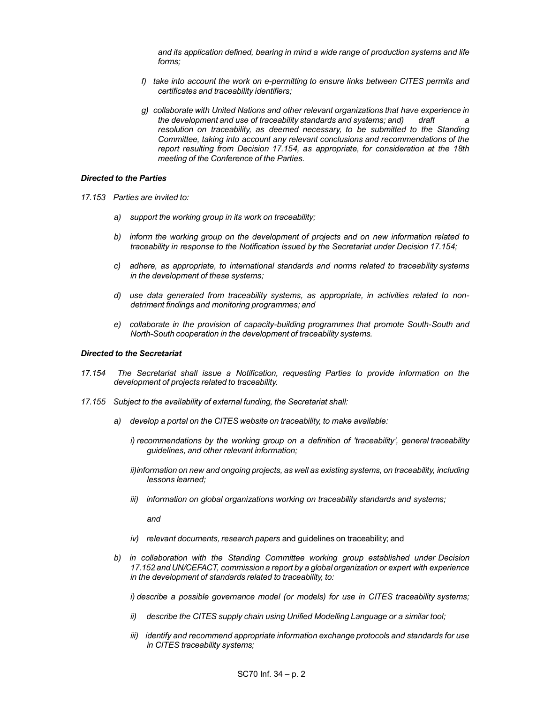and its application defined, bearing in mind a wide range of production systems and life forms;

- f) take into account the work on e-permitting to ensure links between CITES permits and certificates and traceability identifiers;
- g) collaborate with United Nations and other relevant organizations that have experience in the development and use of traceability standards and systems; and) draft resolution on traceability, as deemed necessary, to be submitted to the Standing Committee, taking into account any relevant conclusions and recommendations of the report resulting from Decision 17.154, as appropriate, for consideration at the 18th meeting of the Conference of the Parties.

#### Directed to the Parties

- 17.153 Parties are invited to:
	- a) support the working group in its work on traceability;
	- b) inform the working group on the development of projects and on new information related to traceability in response to the Notification issued by the Secretariat under Decision 17.154;
	- c) adhere, as appropriate, to international standards and norms related to traceability systems in the development of these systems;
	- d) use data generated from traceability systems, as appropriate, in activities related to nondetriment findings and monitoring programmes; and
	- e) collaborate in the provision of capacity-building programmes that promote South-South and North-South cooperation in the development of traceability systems.

#### Directed to the Secretariat

- 17.154 The Secretariat shall issue a Notification, requesting Parties to provide information on the development of projects related to traceability.
- 17.155 Subject to the availability of external funding, the Secretariat shall:
	- a) develop a portal on the CITES website on traceability, to make available:
		- i) recommendations by the working group on a definition of 'traceability', general traceability guidelines, and other relevant information;
		- ii) information on new and ongoing projects, as well as existing systems, on traceability, including lessons learned;
		- iii) information on global organizations working on traceability standards and systems;

and

- iv) relevant documents, research papers and quidelines on traceability; and
- b) in collaboration with the Standing Committee working group established under Decision 17.152 and UN/CEFACT, commission a report by a global organization or expert with experience in the development of standards related to traceability, to:

i) describe a possible governance model (or models) for use in CITES traceability systems;

- ii) describe the CITES supply chain using Unified Modelling Language or a similar tool;
- iii) identify and recommend appropriate information exchange protocols and standards for use in CITES traceability systems;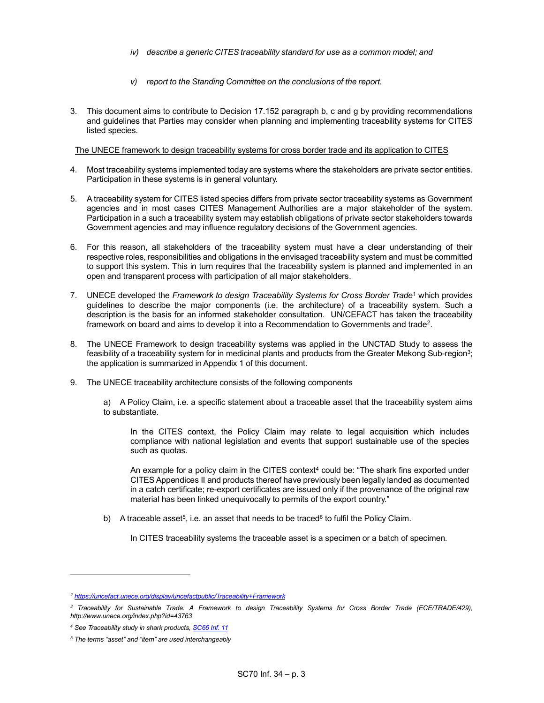- iv) describe a generic CITES traceability standard for use as a common model; and
- v) report to the Standing Committee on the conclusions of the report.
- 3. This document aims to contribute to Decision 17.152 paragraph b, c and g by providing recommendations and guidelines that Parties may consider when planning and implementing traceability systems for CITES listed species.

The UNECE framework to design traceability systems for cross border trade and its application to CITES

- 4. Most traceability systems implemented today are systems where the stakeholders are private sector entities. Participation in these systems is in general voluntary.
- 5. A traceability system for CITES listed species differs from private sector traceability systems as Government agencies and in most cases CITES Management Authorities are a major stakeholder of the system. Participation in a such a traceability system may establish obligations of private sector stakeholders towards Government agencies and may influence regulatory decisions of the Government agencies.
- 6. For this reason, all stakeholders of the traceability system must have a clear understanding of their respective roles, responsibilities and obligations in the envisaged traceability system and must be committed to support this system. This in turn requires that the traceability system is planned and implemented in an open and transparent process with participation of all major stakeholders.
- 7. UNECE developed the Framework to design Traceability Systems for Cross Border Trade<sup>1</sup> which provides guidelines to describe the major components (i.e. the architecture) of a traceability system. Such a description is the basis for an informed stakeholder consultation. UN/CEFACT has taken the traceability framework on board and aims to develop it into a Recommendation to Governments and trade<sup>2</sup>.
- 8. The UNECE Framework to design traceability systems was applied in the UNCTAD Study to assess the feasibility of a traceability system for in medicinal plants and products from the Greater Mekong Sub-region<sup>3</sup>; the application is summarized in Appendix 1 of this document.
- 9. The UNECE traceability architecture consists of the following components
	- a) A Policy Claim, i.e. a specific statement about a traceable asset that the traceability system aims to substantiate.

In the CITES context, the Policy Claim may relate to legal acquisition which includes compliance with national legislation and events that support sustainable use of the species such as quotas.

An example for a policy claim in the CITES context $4$  could be: "The shark fins exported under CITES Appendices II and products thereof have previously been legally landed as documented in a catch certificate; re-export certificates are issued only if the provenance of the original raw material has been linked unequivocally to permits of the export country."

b) A traceable asset<sup>5</sup>, i.e. an asset that needs to be traced<sup>6</sup> to fulfil the Policy Claim.

In CITES traceability systems the traceable asset is a specimen or a batch of specimen.

<sup>&</sup>lt;sup>2</sup> https://uncefact.unece.org/display/uncefactpublic/Traceability+Framework

<sup>&</sup>lt;sup>3</sup> Traceability for Sustainable Trade: A Framework to design Traceability Systems for Cross Border Trade (ECE/TRADE/429), http://www.unece.org/index.php?id=43763

<sup>&</sup>lt;sup>4</sup> See Traceability study in shark products, **SC66 Inf. 11** 

<sup>&</sup>lt;sup>5</sup> The terms "asset" and "item" are used interchangeably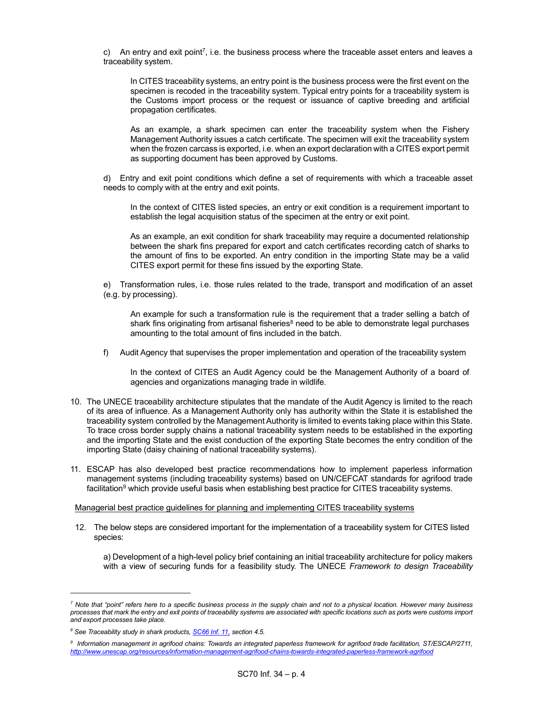c) An entry and exit point<sup>7</sup>, i.e. the business process where the traceable asset enters and leaves a traceability system.

> In CITES traceability systems, an entry point is the business process were the first event on the specimen is recoded in the traceability system. Typical entry points for a traceability system is the Customs import process or the request or issuance of captive breeding and artificial propagation certificates.

> As an example, a shark specimen can enter the traceability system when the Fishery Management Authority issues a catch certificate. The specimen will exit the traceability system when the frozen carcass is exported, i.e. when an export declaration with a CITES export permit as supporting document has been approved by Customs.

 d) Entry and exit point conditions which define a set of requirements with which a traceable asset needs to comply with at the entry and exit points.

In the context of CITES listed species, an entry or exit condition is a requirement important to establish the legal acquisition status of the specimen at the entry or exit point.

As an example, an exit condition for shark traceability may require a documented relationship between the shark fins prepared for export and catch certificates recording catch of sharks to the amount of fins to be exported. An entry condition in the importing State may be a valid CITES export permit for these fins issued by the exporting State.

 e) Transformation rules, i.e. those rules related to the trade, transport and modification of an asset (e.g. by processing).

An example for such a transformation rule is the requirement that a trader selling a batch of shark fins originating from artisanal fisheries<sup>8</sup> need to be able to demonstrate legal purchases amounting to the total amount of fins included in the batch.

f) Audit Agency that supervises the proper implementation and operation of the traceability system

In the context of CITES an Audit Agency could be the Management Authority of a board of agencies and organizations managing trade in wildlife.

- 10. The UNECE traceability architecture stipulates that the mandate of the Audit Agency is limited to the reach of its area of influence. As a Management Authority only has authority within the State it is established the traceability system controlled by the Management Authority is limited to events taking place within this State. To trace cross border supply chains a national traceability system needs to be established in the exporting and the importing State and the exist conduction of the exporting State becomes the entry condition of the importing State (daisy chaining of national traceability systems).
- 11. ESCAP has also developed best practice recommendations how to implement paperless information management systems (including traceability systems) based on UN/CEFCAT standards for agrifood trade facilitation $^9$  which provide useful basis when establishing best practice for CITES traceability systems.

## Managerial best practice guidelines for planning and implementing CITES traceability systems

12. The below steps are considered important for the implementation of a traceability system for CITES listed species:

 a) Development of a high-level policy brief containing an initial traceability architecture for policy makers with a view of securing funds for a feasibility study. The UNECE Framework to design Traceability

 $^7$  Note that "point" refers here to a specific business process in the supply chain and not to a physical location. However many business processes that mark the entry and exit points of traceability systems are associated with specific locations such as ports were customs import and export processes take place.

<sup>&</sup>lt;sup>8</sup> See Traceability study in shark products, **SC66 Inf. 11, section 4.5.** 

<sup>9</sup> Information management in agrifood chains: Towards an integrated paperless framework for agrifood trade facilitation, ST/ESCAP/2711, http://www.unescap.org/resources/information-management-agrifood-chains-towards-integrated-paperless-framework-agrifood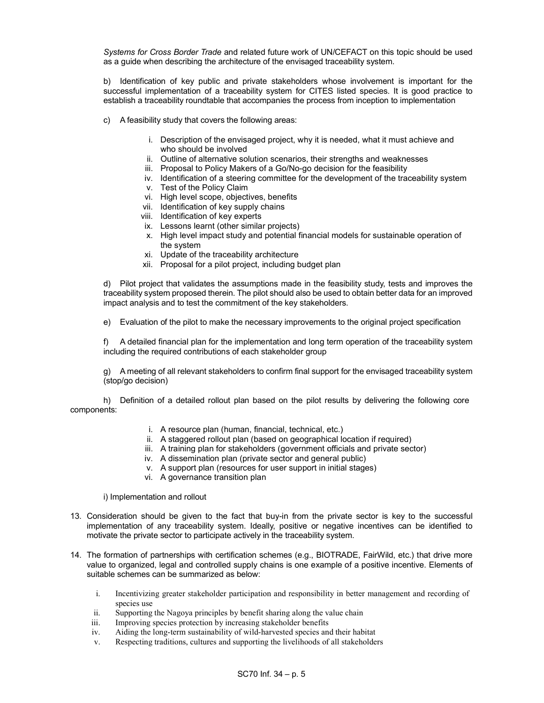Systems for Cross Border Trade and related future work of UN/CEFACT on this topic should be used as a guide when describing the architecture of the envisaged traceability system.

 b) Identification of key public and private stakeholders whose involvement is important for the successful implementation of a traceability system for CITES listed species. It is good practice to establish a traceability roundtable that accompanies the process from inception to implementation

- c) A feasibility study that covers the following areas:
	- i. Description of the envisaged project, why it is needed, what it must achieve and who should be involved
	- ii. Outline of alternative solution scenarios, their strengths and weaknesses
	- iii. Proposal to Policy Makers of a Go/No-go decision for the feasibility
	- iv. Identification of a steering committee for the development of the traceability system
	- v. Test of the Policy Claim
	- vi. High level scope, objectives, benefits
	- vii. Identification of key supply chains
	- viii. Identification of key experts
	- ix. Lessons learnt (other similar projects)
	- x. High level impact study and potential financial models for sustainable operation of the system
	- xi. Update of the traceability architecture
	- xii. Proposal for a pilot project, including budget plan

 d) Pilot project that validates the assumptions made in the feasibility study, tests and improves the traceability system proposed therein. The pilot should also be used to obtain better data for an improved impact analysis and to test the commitment of the key stakeholders.

e) Evaluation of the pilot to make the necessary improvements to the original project specification

 f) A detailed financial plan for the implementation and long term operation of the traceability system including the required contributions of each stakeholder group

 g) A meeting of all relevant stakeholders to confirm final support for the envisaged traceability system (stop/go decision)

 h) Definition of a detailed rollout plan based on the pilot results by delivering the following core components:

- i. A resource plan (human, financial, technical, etc.)
- ii. A staggered rollout plan (based on geographical location if required)
- iii. A training plan for stakeholders (government officials and private sector)
- iv. A dissemination plan (private sector and general public)
- v. A support plan (resources for user support in initial stages)
- vi. A governance transition plan

i) Implementation and rollout

- 13. Consideration should be given to the fact that buy-in from the private sector is key to the successful implementation of any traceability system. Ideally, positive or negative incentives can be identified to motivate the private sector to participate actively in the traceability system.
- 14. The formation of partnerships with certification schemes (e.g., BIOTRADE, FairWild, etc.) that drive more value to organized, legal and controlled supply chains is one example of a positive incentive. Elements of suitable schemes can be summarized as below:
	- i. Incentivizing greater stakeholder participation and responsibility in better management and recording of species use
	- ii. Supporting the Nagoya principles by benefit sharing along the value chain
	- iii. Improving species protection by increasing stakeholder benefits
	- iv. Aiding the long-term sustainability of wild-harvested species and their habitat
	- v. Respecting traditions, cultures and supporting the livelihoods of all stakeholders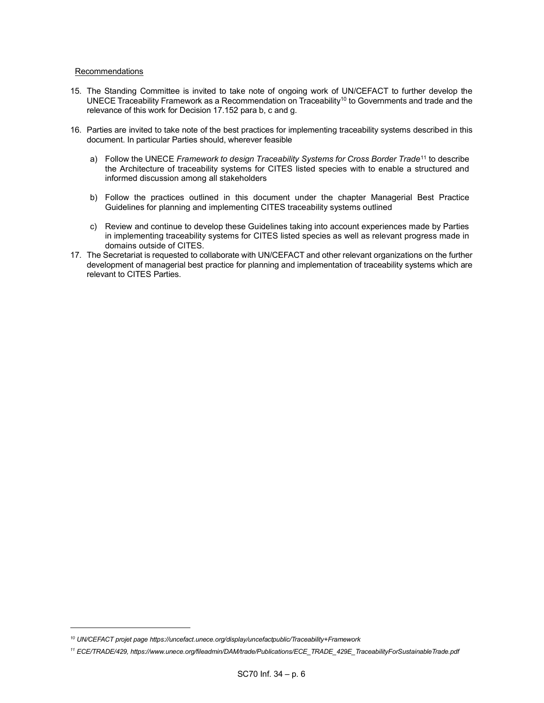#### Recommendations

- 15. The Standing Committee is invited to take note of ongoing work of UN/CEFACT to further develop the UNECE Traceability Framework as a Recommendation on Traceability<sup>10</sup> to Governments and trade and the relevance of this work for Decision 17.152 para b, c and g.
- 16. Parties are invited to take note of the best practices for implementing traceability systems described in this document. In particular Parties should, wherever feasible
	- a) Follow the UNECE Framework to design Traceability Systems for Cross Border Trade<sup>11</sup> to describe the Architecture of traceability systems for CITES listed species with to enable a structured and informed discussion among all stakeholders
	- b) Follow the practices outlined in this document under the chapter Managerial Best Practice Guidelines for planning and implementing CITES traceability systems outlined
	- c) Review and continue to develop these Guidelines taking into account experiences made by Parties in implementing traceability systems for CITES listed species as well as relevant progress made in domains outside of CITES.
- 17. The Secretariat is requested to collaborate with UN/CEFACT and other relevant organizations on the further development of managerial best practice for planning and implementation of traceability systems which are relevant to CITES Parties.

<sup>10</sup> UN/CEFACT projet page https://uncefact.unece.org/display/uncefactpublic/Traceability+Framework

<sup>11</sup> ECE/TRADE/429, https://www.unece.org/fileadmin/DAM/trade/Publications/ECE\_TRADE\_429E\_TraceabilityForSustainableTrade.pdf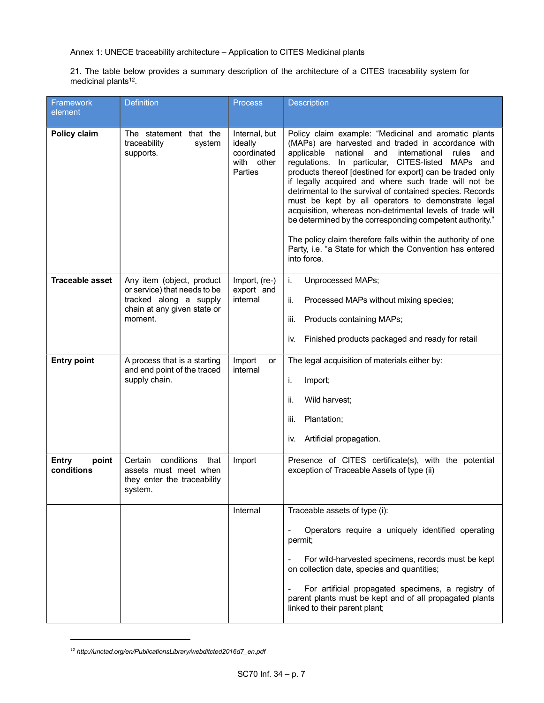21. The table below provides a summary description of the architecture of a CITES traceability system for medicinal plants<sup>12</sup>.

| Framework<br>element         | <b>Definition</b>                                                                                                             | <b>Process</b>                                                   | <b>Description</b>                                                                                                                                                                                                                                                                                                                                                                                                                                                                                                                                                                                                                                                                                                                                             |
|------------------------------|-------------------------------------------------------------------------------------------------------------------------------|------------------------------------------------------------------|----------------------------------------------------------------------------------------------------------------------------------------------------------------------------------------------------------------------------------------------------------------------------------------------------------------------------------------------------------------------------------------------------------------------------------------------------------------------------------------------------------------------------------------------------------------------------------------------------------------------------------------------------------------------------------------------------------------------------------------------------------------|
| Policy claim                 | The statement that the<br>traceability<br>system<br>supports.                                                                 | Internal, but<br>ideally<br>coordinated<br>with other<br>Parties | Policy claim example: "Medicinal and aromatic plants<br>(MAPs) are harvested and traded in accordance with<br>applicable<br>national<br>and<br>international<br>rules<br>and<br>CITES-listed<br>regulations. In particular,<br><b>MAPs</b><br>and<br>products thereof [destined for export] can be traded only<br>if legally acquired and where such trade will not be<br>detrimental to the survival of contained species. Records<br>must be kept by all operators to demonstrate legal<br>acquisition, whereas non-detrimental levels of trade will<br>be determined by the corresponding competent authority."<br>The policy claim therefore falls within the authority of one<br>Party, i.e. "a State for which the Convention has entered<br>into force. |
| <b>Traceable asset</b>       | Any item (object, product<br>or service) that needs to be<br>tracked along a supply<br>chain at any given state or<br>moment. | Import, (re-)<br>export and<br>internal                          | i.<br>Unprocessed MAPs;<br>ii.<br>Processed MAPs without mixing species;<br>Products containing MAPs;<br>iii.<br>Finished products packaged and ready for retail<br>İV.                                                                                                                                                                                                                                                                                                                                                                                                                                                                                                                                                                                        |
| <b>Entry point</b>           | A process that is a starting<br>and end point of the traced<br>supply chain.                                                  | Import<br>or<br>internal                                         | The legal acquisition of materials either by:<br>Import;<br>i.<br>Wild harvest;<br>ii.<br>Plantation;<br>iii.<br>Artificial propagation.<br>İV.                                                                                                                                                                                                                                                                                                                                                                                                                                                                                                                                                                                                                |
| Entry<br>point<br>conditions | conditions<br>that<br>Certain<br>assets must meet when<br>they enter the traceability<br>system.                              | Import                                                           | Presence of CITES certificate(s), with the potential<br>exception of Traceable Assets of type (ii)                                                                                                                                                                                                                                                                                                                                                                                                                                                                                                                                                                                                                                                             |
|                              |                                                                                                                               | Internal                                                         | Traceable assets of type (i):<br>Operators require a uniquely identified operating<br>permit;<br>For wild-harvested specimens, records must be kept<br>on collection date, species and quantities;<br>For artificial propagated specimens, a registry of<br>parent plants must be kept and of all propagated plants<br>linked to their parent plant;                                                                                                                                                                                                                                                                                                                                                                                                           |

<sup>12</sup> http://unctad.org/en/PublicationsLibrary/webditcted2016d7\_en.pdf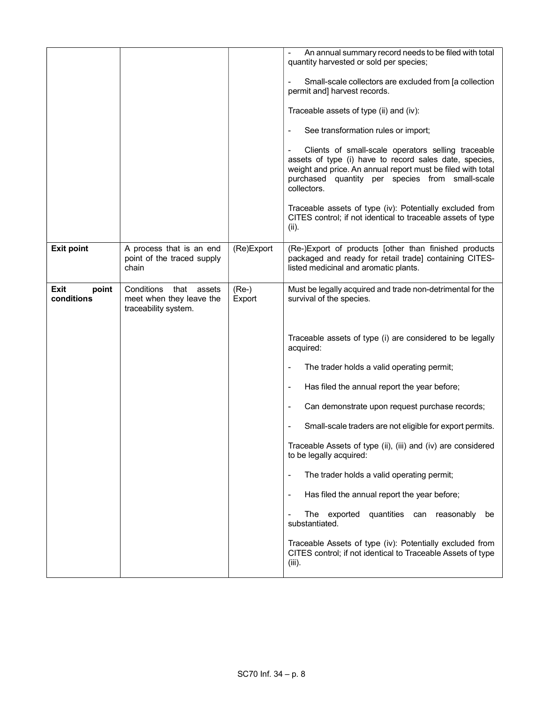|                             |                                                                                  |                   | An annual summary record needs to be filed with total<br>quantity harvested or sold per species;<br>Small-scale collectors are excluded from [a collection<br>permit and] harvest records.<br>Traceable assets of type (ii) and (iv):<br>See transformation rules or import;<br>Clients of small-scale operators selling traceable<br>assets of type (i) have to record sales date, species,<br>weight and price. An annual report must be filed with total<br>purchased quantity per species from small-scale<br>collectors.<br>Traceable assets of type (iv): Potentially excluded from<br>CITES control; if not identical to traceable assets of type<br>(ii). |
|-----------------------------|----------------------------------------------------------------------------------|-------------------|-------------------------------------------------------------------------------------------------------------------------------------------------------------------------------------------------------------------------------------------------------------------------------------------------------------------------------------------------------------------------------------------------------------------------------------------------------------------------------------------------------------------------------------------------------------------------------------------------------------------------------------------------------------------|
| <b>Exit point</b>           | A process that is an end<br>point of the traced supply<br>chain                  | (Re)Export        | (Re-)Export of products [other than finished products<br>packaged and ready for retail trade] containing CITES-<br>listed medicinal and aromatic plants.                                                                                                                                                                                                                                                                                                                                                                                                                                                                                                          |
| Exit<br>point<br>conditions | Conditions<br>that<br>assets<br>meet when they leave the<br>traceability system. | $(Re-)$<br>Export | Must be legally acquired and trade non-detrimental for the<br>survival of the species.                                                                                                                                                                                                                                                                                                                                                                                                                                                                                                                                                                            |
|                             |                                                                                  |                   | Traceable assets of type (i) are considered to be legally<br>acquired:                                                                                                                                                                                                                                                                                                                                                                                                                                                                                                                                                                                            |
|                             |                                                                                  |                   | The trader holds a valid operating permit;<br>$\qquad \qquad \blacksquare$                                                                                                                                                                                                                                                                                                                                                                                                                                                                                                                                                                                        |
|                             |                                                                                  |                   | Has filed the annual report the year before;<br>$\qquad \qquad \blacksquare$                                                                                                                                                                                                                                                                                                                                                                                                                                                                                                                                                                                      |
|                             |                                                                                  |                   | Can demonstrate upon request purchase records;                                                                                                                                                                                                                                                                                                                                                                                                                                                                                                                                                                                                                    |
|                             |                                                                                  |                   | Small-scale traders are not eligible for export permits.                                                                                                                                                                                                                                                                                                                                                                                                                                                                                                                                                                                                          |
|                             |                                                                                  |                   | Traceable Assets of type (ii), (iii) and (iv) are considered<br>to be legally acquired:                                                                                                                                                                                                                                                                                                                                                                                                                                                                                                                                                                           |
|                             |                                                                                  |                   | The trader holds a valid operating permit;<br>$\overline{a}$                                                                                                                                                                                                                                                                                                                                                                                                                                                                                                                                                                                                      |
|                             |                                                                                  |                   | Has filed the annual report the year before;<br>$\qquad \qquad \blacksquare$                                                                                                                                                                                                                                                                                                                                                                                                                                                                                                                                                                                      |
|                             |                                                                                  |                   | The exported<br>quantities can reasonably<br>be<br>substantiated.                                                                                                                                                                                                                                                                                                                                                                                                                                                                                                                                                                                                 |
|                             |                                                                                  |                   | Traceable Assets of type (iv): Potentially excluded from<br>CITES control; if not identical to Traceable Assets of type<br>$(iii)$ .                                                                                                                                                                                                                                                                                                                                                                                                                                                                                                                              |